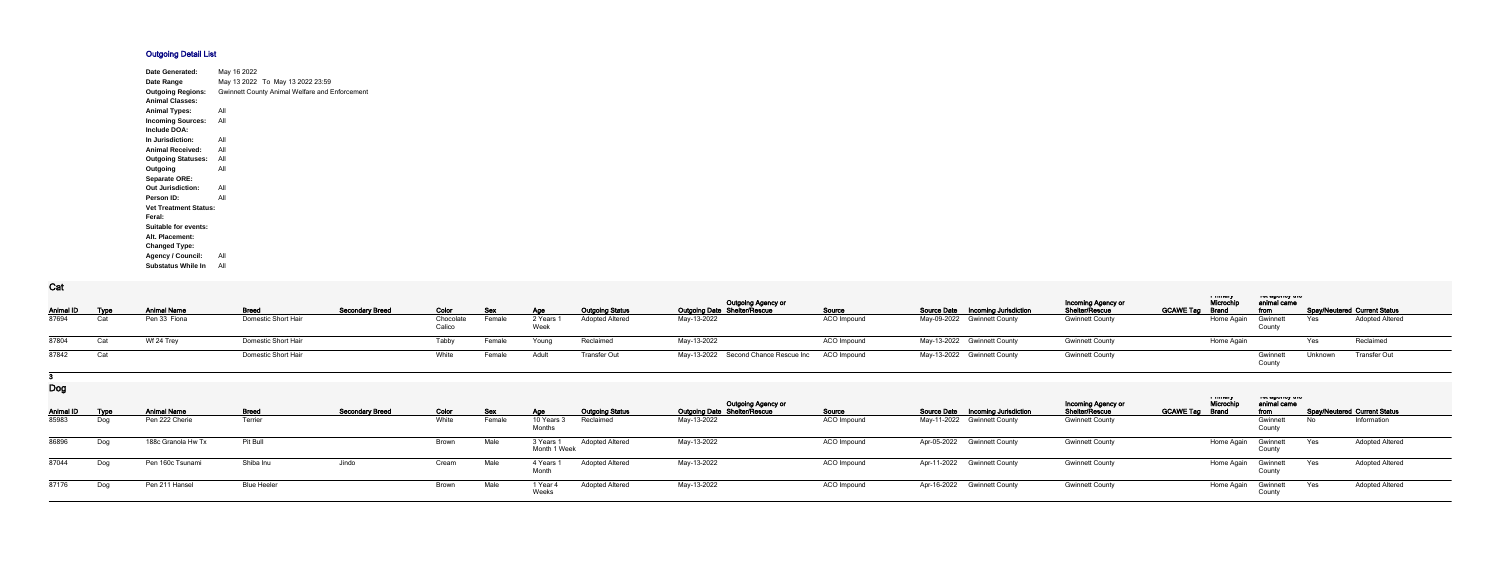## **Outgoing Detail List**

| Date Generated:              | May 16 2022 |                                                |
|------------------------------|-------------|------------------------------------------------|
| Date Range                   |             | May 13 2022 To May 13 2022 23:59               |
| <b>Outgoing Regions:</b>     |             | Gwinnett County Animal Welfare and Enforcement |
| <b>Animal Classes:</b>       |             |                                                |
| <b>Animal Types:</b>         | All         |                                                |
| <b>Incoming Sources:</b>     | All         |                                                |
| Include DOA:                 |             |                                                |
| In Jurisdiction:             | All         |                                                |
| <b>Animal Received:</b>      | All         |                                                |
| <b>Outgoing Statuses:</b>    | All         |                                                |
| Outgoing                     | All         |                                                |
| <b>Separate ORE:</b>         |             |                                                |
| <b>Out Jurisdiction:</b>     | All         |                                                |
| Person ID:                   | All         |                                                |
| <b>Vet Treatment Status:</b> |             |                                                |
| Feral:                       |             |                                                |
| Suitable for events:         |             |                                                |
| Alt. Placement:              |             |                                                |
| <b>Changed Type:</b>         |             |                                                |
| <b>Agency / Council:</b>     | All         |                                                |
| <b>Substatus While In</b>    | All         |                                                |

## **Cat**

| <b>val</b>            |     |                    |                     |                        |                     |            |         |                        |                                                                  |             |                                          |                                             |                                                                                       |                                     |  |
|-----------------------|-----|--------------------|---------------------|------------------------|---------------------|------------|---------|------------------------|------------------------------------------------------------------|-------------|------------------------------------------|---------------------------------------------|---------------------------------------------------------------------------------------|-------------------------------------|--|
| <b>Animal ID Type</b> |     | <b>Animal Name</b> | <b>Breed</b>        | <b>Secondary Breed</b> | Color               | <b>Sex</b> | Age     | <b>Outgoing Status</b> | <b>Outgoing Agency or</b><br><b>Outgoing Date Shelter/Rescue</b> | Source      | <b>Source Date Incoming Jurisdiction</b> | <b>Incoming Agency or</b><br>Shelter/Rescue | a music<br>יייי שאייטא יי<br>Microch<br>animal came<br><b>GCAWE Tag Brand</b><br>from | <b>Spay/Neutered Current Status</b> |  |
| 87694                 |     | Pen 33 Fiona       | Domestic Short Hair |                        | Chocolate<br>Calico | Female     | 2 Years | <b>Adopted Altered</b> | May-13-2022                                                      | ACO Impound | May-09-2022 Gwinnett County              | <b>Gwinnett County</b>                      | Home Again<br>Gwinnett                                                                | Adopted Altered<br>Yes              |  |
| 87804                 | Cat | Wf 24 Trey         | Domestic Short Hair |                        | <b>Tabby</b>        | Female     | Young   | Reclaimed              | May-13-2022                                                      | ACO Impound | May-13-2022 Gwinnett County              | <b>Gwinnett County</b>                      | Home Again                                                                            | Reclaimed<br>Yes                    |  |
| 87842                 |     |                    | Domestic Short Hair |                        | White               | Female     | Adult   | Transfer Out           | May-13-2022 Second Chance Rescue Inc ACO Impound                 |             | May-13-2022 Gwinnett County              | <b>Gwinnett County</b>                      | Gwinnet<br>County                                                                     | Transfer Out<br>Unknown             |  |

## **3**

**Dog**

| – - ల            |      |                    |                    |                        |       |        |                           |                        | <b>Outgoing Agency or</b>           |             |                                          | <b>Incoming Agency or</b> | a music<br>Microchi    | ו סג טאַ וויט זי<br>animal came |     |                              |  |
|------------------|------|--------------------|--------------------|------------------------|-------|--------|---------------------------|------------------------|-------------------------------------|-------------|------------------------------------------|---------------------------|------------------------|---------------------------------|-----|------------------------------|--|
| <b>Animal ID</b> | Type | <b>Animal Name</b> | <b>Breed</b>       | <b>Secondary Breed</b> | Color | Sex    | Age                       | <b>Outgoing Status</b> | <b>Outgoing Date Shelter/Rescue</b> | Source      | <b>Source Date Incoming Jurisdiction</b> | <b>Shelter/Rescue</b>     | <b>GCAWE Tag Brand</b> | from                            |     | Spay/Neutered Current Status |  |
| 85983            | Dog  | Pen 222 Cherie     | Terrier            |                        | White | Female | 10 Years 3<br>Months      | Reclaimed              | May-13-2022                         | ACO Impound | May-11-2022 Gwinnett County              | <b>Gwinnett County</b>    |                        | Gwinnett<br>County              | No  | Information                  |  |
| 86896            | Dog  | 188c Granola Hw Tx | Pit Bull           |                        | Brown | Male   | 3 Years 1<br>Month 1 Week | <b>Adopted Altered</b> | May-13-2022                         | ACO Impound | Apr-05-2022 Gwinnett County              | <b>Gwinnett County</b>    | Home Again             | Gwinnett<br>Count               | Yes | <b>Adopted Altered</b>       |  |
| 87044            | Dog  | Pen 160c Tsunami   | Shiba Inu          | Jindo                  | Cream | Male   | 4 Years 1                 | <b>Adopted Altered</b> | May-13-2022                         | ACO Impound | Apr-11-2022 Gwinnett County              | <b>Gwinnett County</b>    | Home Again             | Gwinnett                        | Yes | <b>Adopted Altered</b>       |  |
| 87176            | Dog  | Pen 211 Hansel     | <b>Blue Heeler</b> |                        | Brown | Male   | 1 Year<br>Weeks           | <b>Adopted Altered</b> | May-13-2022                         | ACO Impound | Apr-16-2022 Gwinnett County              | <b>Gwinnett County</b>    | Home Again             | Gwinnett<br>Count               | Yes | <b>Adopted Altered</b>       |  |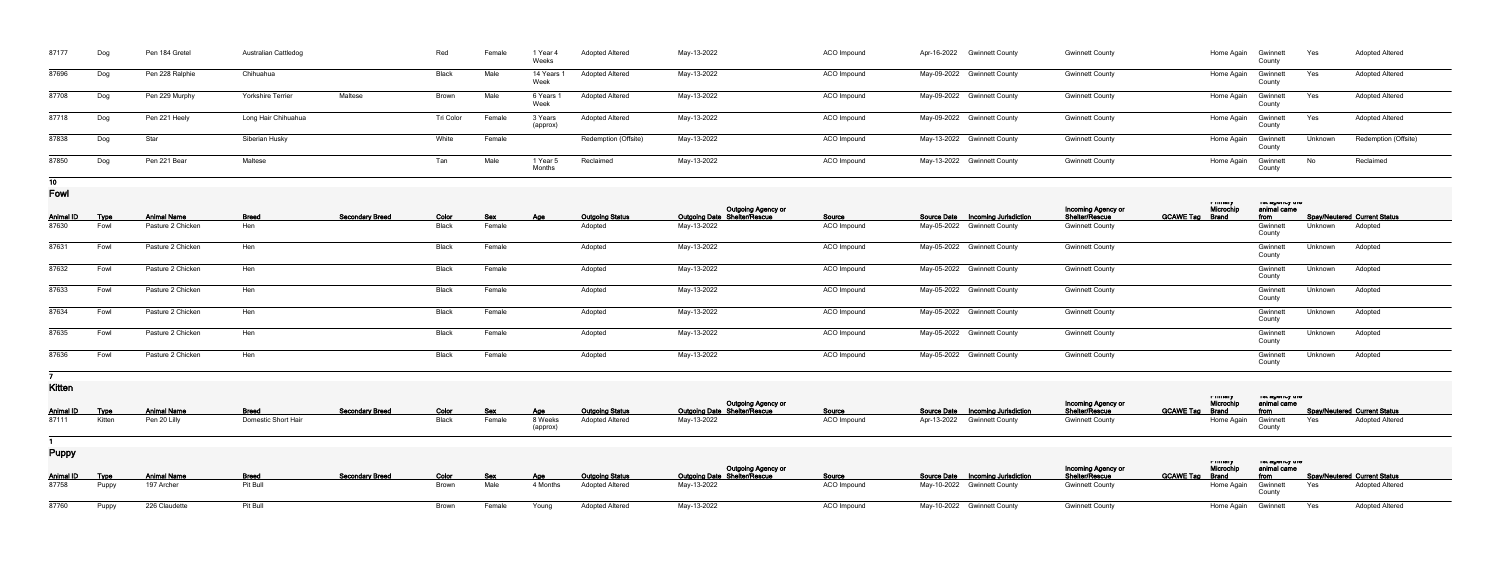| 87177           | Dog         | Pen 184 Gretel     | <b>Australian Cattledog</b> |                        | Red          | Female             | 1 Year 4<br>Weeks      | <b>Adopted Altered</b> | May-13-2022                                        | ACO Impound |                    | Apr-16-2022 Gwinnett County        | <b>Gwinnett County</b>               |                        | Home Again                        | Gwinnett<br>County                      | Yes     | <b>Adopted Altered</b>              |
|-----------------|-------------|--------------------|-----------------------------|------------------------|--------------|--------------------|------------------------|------------------------|----------------------------------------------------|-------------|--------------------|------------------------------------|--------------------------------------|------------------------|-----------------------------------|-----------------------------------------|---------|-------------------------------------|
| 87696           | Dog         | Pen 228 Ralphie    | Chihuahua                   |                        | Black        | Male               | 14 Years<br>Week       | <b>Adopted Altered</b> | May-13-2022                                        | ACO Impound |                    | May-09-2022 Gwinnett County        | <b>Gwinnett County</b>               |                        | Home Again                        | Gwinnett<br>County                      | Yes     | <b>Adopted Altered</b>              |
| 87708           | Dog         | Pen 229 Murphy     | Yorkshire Terrier           | Maltese                | Brown        | Male               | 6 Years<br>Week        | <b>Adopted Altered</b> | May-13-2022                                        | ACO Impound |                    | May-09-2022 Gwinnett County        | <b>Gwinnett County</b>               |                        | Home Again                        | Gwinnet<br>County                       | Yes     | <b>Adopted Altered</b>              |
| 87718           | Dog         | Pen 221 Heely      | Long Hair Chihuahua         |                        | Tri Color    | Female             | 3 Years<br>(approx)    | <b>Adopted Altered</b> | May-13-2022                                        | ACO Impound |                    | May-09-2022 Gwinnett County        | <b>Gwinnett County</b>               |                        | Home Again                        | Gwinnett<br>County                      | Yes     | <b>Adopted Altered</b>              |
| 87838           | Dog         | Star               | Siberian Husky              |                        | White        | Female             |                        | Redemption (Offsite)   | May-13-2022                                        | ACO Impound |                    | May-13-2022 Gwinnett County        | <b>Gwinnett County</b>               |                        | Home Again                        | Gwinnet<br>County                       | Unknown | Redemption (Offsite)                |
| 87850           | Dog         | Pen 221 Bear       | Maltese                     |                        | Tan          | Male               | 1 Year 5<br>Months     | Reclaimed              | May-13-2022                                        | ACO Impound |                    | May-13-2022 Gwinnett County        | <b>Gwinnett County</b>               |                        | Home Again                        | Gwinnet<br>County                       | No      | Reclaimed                           |
| 10 <sub>1</sub> |             |                    |                             |                        |              |                    |                        |                        |                                                    |             |                    |                                    |                                      |                        |                                   |                                         |         |                                     |
| Fowl            |             |                    |                             |                        |              |                    |                        |                        |                                                    |             |                    |                                    |                                      |                        | <b>THUGLY</b><br>Microchip        | יסו מµסווט αווס<br>animal came          |         |                                     |
| Animal ID       | <u>Type</u> | <b>Animal Name</b> | <b>Breed</b>                | <b>Secondary Breed</b> | Color        | <u>Sex</u>         | <u>Age</u>             | <b>Outgoing Status</b> | Outgoing Agency or<br>Outgoing Date Shelter/Rescue | Source      | <b>Source Date</b> | <b>Incoming Jurisdiction</b>       | Incoming Agency or<br>Shelter/Rescue | <b>GCAWE Tag Brand</b> |                                   | from                                    |         | <b>Spay/Neutered Current Status</b> |
| 87630           | Fowl        | Pasture 2 Chicken  | Hen                         |                        | <b>Black</b> | Female             |                        | Adopted                | May-13-2022                                        | ACO Impound |                    | May-05-2022 Gwinnett County        | <b>Gwinnett County</b>               |                        |                                   | Gwinnet<br>County                       | Unknown | Adopted                             |
| 87631           | Fowl        | Pasture 2 Chicken  | Hen                         |                        | Black        | Female             |                        | Adopted                | May-13-2022                                        | ACO Impound |                    | May-05-2022 Gwinnett County        | <b>Gwinnett County</b>               |                        |                                   | Gwinnet<br>County                       | Unknown | Adopted                             |
| 87632           | Fowl        | Pasture 2 Chicken  | Hen                         |                        | Black        | Female             |                        | Adopted                | May-13-2022                                        | ACO Impound |                    | May-05-2022 Gwinnett County        | <b>Gwinnett County</b>               |                        |                                   | Gwinnet<br>County                       | Unknown | Adopted                             |
| 87633           | Fowl        | Pasture 2 Chicken  | Hen                         |                        | Black        | Female             |                        | Adopted                | May-13-2022                                        | ACO Impound |                    | May-05-2022 Gwinnett County        | <b>Gwinnett County</b>               |                        |                                   | Gwinnet<br>County                       | Unknown | Adopted                             |
| 87634           | Fowl        | Pasture 2 Chicken  | Hen                         |                        | <b>Black</b> | Female             |                        | Adopted                | May-13-2022                                        | ACO Impound |                    | May-05-2022 Gwinnett County        | <b>Gwinnett County</b>               |                        |                                   | Gwinnet<br>County                       | Unknown | Adopted                             |
| 87635           | Fowl        | Pasture 2 Chicken  | Hen                         |                        | Black        | Female             |                        | Adopted                | May-13-2022                                        | ACO Impound |                    | May-05-2022 Gwinnett County        | <b>Gwinnett County</b>               |                        |                                   | Gwinnet<br>County                       | Unknown | Adopted                             |
| 87636           | Fowl        | Pasture 2 Chicken  | Hen                         |                        | <b>Black</b> | Female             |                        | Adopted                | May-13-2022                                        | ACO Impound |                    | May-05-2022 Gwinnett County        | <b>Gwinnett County</b>               |                        |                                   | Gwinnet<br>County                       | Unknown | Adopted                             |
|                 |             |                    |                             |                        |              |                    |                        |                        |                                                    |             |                    |                                    |                                      |                        |                                   |                                         |         |                                     |
| <b>Kitten</b>   |             |                    |                             |                        |              |                    |                        |                        |                                                    |             |                    |                                    |                                      |                        |                                   |                                         |         |                                     |
|                 |             |                    |                             |                        |              |                    |                        |                        |                                                    |             |                    |                                    |                                      |                        | ாபப்பா                            | וסו טשטווטץ נווט                        |         |                                     |
| Animal ID       | <b>Type</b> | <b>Animal Name</b> | <b>Breed</b>                | <b>Secondary Breed</b> | Color        | <u>Sex</u>         | <u>Age</u>             | <b>Outgoing Status</b> | Outgoing Agency or<br>Outgoing Date Shelter/Rescue | Source      |                    | Source Date  Incoming Jurisdiction | Incoming Agency or<br>Shelter/Rescue | <b>GCAWE Tag Brand</b> | Microchip                         | animal came<br>from                     |         | <b>Spay/Neutered Current Status</b> |
| 87111           | Kitten      | Pen 20 Lilly       | Domestic Short Hair         |                        | Black        | Female             | 8 Weeks<br>(approx)    | <b>Adopted Altered</b> | May-13-2022                                        | ACO Impound |                    | Apr-13-2022 Gwinnett County        | <b>Gwinnett County</b>               |                        | Home Again                        | Gwinnet<br>County                       | Yes     | <b>Adopted Altered</b>              |
|                 |             |                    |                             |                        |              |                    |                        |                        |                                                    |             |                    |                                    |                                      |                        |                                   |                                         |         |                                     |
| <b>Puppy</b>    |             |                    |                             |                        |              |                    |                        |                        |                                                    |             |                    |                                    |                                      |                        |                                   |                                         |         |                                     |
| Animal ID       | <b>Type</b> | <b>Animal Name</b> | <b>Breed</b>                | <b>Secondary Breed</b> | Color        |                    |                        | <b>Outgoing Status</b> | Outgoing Agency or<br>Outgoing Date Shelter/Rescue | Source      |                    | Source Date  Incoming Jurisdiction | Incoming Agency or<br>Shelter/Rescue | <b>GCAWE Tag</b>       | ாயமா<br>Microchip<br><b>Brand</b> | וסו טשטווטץ וווס<br>animal came<br>from |         | <b>Spay/Neutered Current Status</b> |
| 87758           | Puppy       | 197 Archer         | Pit Bull                    |                        | Brown        | <u>Sex</u><br>Male | <u>Age</u><br>4 Months | <b>Adopted Altered</b> | May-13-2022                                        | ACO Impound |                    | May-10-2022 Gwinnett County        | <b>Gwinnett County</b>               |                        | Home Again                        | Gwinnet<br>County                       | Yes     | <b>Adopted Altered</b>              |
| 87760           | Puppy       | 226 Claudette      | Pit Bull                    |                        | Brown        | Female             | Young                  | <b>Adopted Altered</b> | May-13-2022                                        | ACO Impound |                    | May-10-2022 Gwinnett County        | <b>Gwinnett County</b>               |                        | Home Again                        | Gwinnett                                | Yes     | <b>Adopted Altered</b>              |